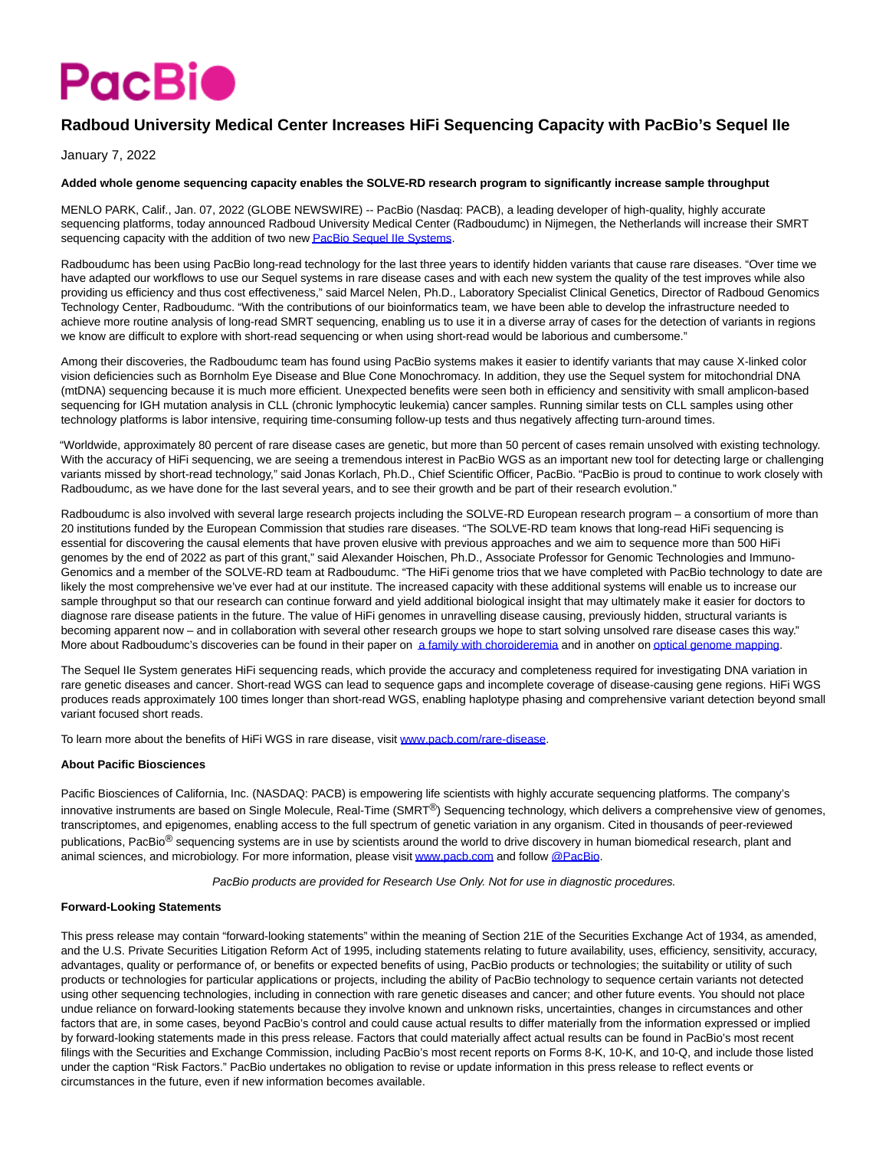# **PacBio**

## **Radboud University Medical Center Increases HiFi Sequencing Capacity with PacBio's Sequel IIe**

January 7, 2022

#### **Added whole genome sequencing capacity enables the SOLVE-RD research program to significantly increase sample throughput**

MENLO PARK, Calif., Jan. 07, 2022 (GLOBE NEWSWIRE) -- PacBio (Nasdaq: PACB), a leading developer of high-quality, highly accurate sequencing platforms, today announced Radboud University Medical Center (Radboudumc) in Nijmegen, the Netherlands will increase their SMRT sequencing capacity with the addition of two ne[w PacBio Sequel IIe Systems.](https://www.globenewswire.com/Tracker?data=qvOGQIt0IH4nz_kCw8MoTcgJq98eNRpszwO6J_XAc1Nmh9FeaSIdZOwRpdOAROQZnidzdpLRzWfnJHnK7dAzTQTleDBdx5RYfhwEpwHwm4dRilDmBKBq5DL4bRawLl3GQ6f7Stp8WoPeWgXGhCpFC7OX1Y162YaAErSxViZ_nGY=)

Radboudumc has been using PacBio long-read technology for the last three years to identify hidden variants that cause rare diseases. "Over time we have adapted our workflows to use our Sequel systems in rare disease cases and with each new system the quality of the test improves while also providing us efficiency and thus cost effectiveness," said Marcel Nelen, Ph.D., Laboratory Specialist Clinical Genetics, Director of Radboud Genomics Technology Center, Radboudumc. "With the contributions of our bioinformatics team, we have been able to develop the infrastructure needed to achieve more routine analysis of long-read SMRT sequencing, enabling us to use it in a diverse array of cases for the detection of variants in regions we know are difficult to explore with short-read sequencing or when using short-read would be laborious and cumbersome."

Among their discoveries, the Radboudumc team has found using PacBio systems makes it easier to identify variants that may cause X-linked color vision deficiencies such as Bornholm Eye Disease and Blue Cone Monochromacy. In addition, they use the Sequel system for mitochondrial DNA (mtDNA) sequencing because it is much more efficient. Unexpected benefits were seen both in efficiency and sensitivity with small amplicon-based sequencing for IGH mutation analysis in CLL (chronic lymphocytic leukemia) cancer samples. Running similar tests on CLL samples using other technology platforms is labor intensive, requiring time-consuming follow-up tests and thus negatively affecting turn-around times.

"Worldwide, approximately 80 percent of rare disease cases are genetic, but more than 50 percent of cases remain unsolved with existing technology. With the accuracy of HiFi sequencing, we are seeing a tremendous interest in PacBio WGS as an important new tool for detecting large or challenging variants missed by short-read technology," said Jonas Korlach, Ph.D., Chief Scientific Officer, PacBio. "PacBio is proud to continue to work closely with Radboudumc, as we have done for the last several years, and to see their growth and be part of their research evolution."

Radboudumc is also involved with several large research projects including the SOLVE-RD European research program – a consortium of more than 20 institutions funded by the European Commission that studies rare diseases. "The SOLVE-RD team knows that long-read HiFi sequencing is essential for discovering the causal elements that have proven elusive with previous approaches and we aim to sequence more than 500 HiFi genomes by the end of 2022 as part of this grant," said Alexander Hoischen, Ph.D., Associate Professor for Genomic Technologies and Immuno-Genomics and a member of the SOLVE-RD team at Radboudumc. "The HiFi genome trios that we have completed with PacBio technology to date are likely the most comprehensive we've ever had at our institute. The increased capacity with these additional systems will enable us to increase our sample throughput so that our research can continue forward and yield additional biological insight that may ultimately make it easier for doctors to diagnose rare disease patients in the future. The value of HiFi genomes in unravelling disease causing, previously hidden, structural variants is becoming apparent now – and in collaboration with several other research groups we hope to start solving unsolved rare disease cases this way." More about Radboudumc's discoveries can be found in their paper on [a family with choroideremia a](https://www.globenewswire.com/Tracker?data=2RvXO1uW0abfvLMcA4qJW6sIdI6Wyfib_svl5BTrSIFZ90peU8QvSXguU0W8D8X5FbjObL2TuvrF0sQGz9ESIPYNrKn-Vvm4TXG0wpGSbZotynls8sGvYjMz-3ez8nvzL5H5RbplZmXcuOe9vmy1XIYgMlH5V2QuSLtRau2GE5c=)nd in another o[n optical genome mapping.](https://www.globenewswire.com/Tracker?data=Ig-vxHfp-DwayOQgzT9rQyIxCdEPgarEShHcZR9Yi-lUDsshYwuTmN1LZpdnxkO7njGsxby0SIaZWDR7qx3G1301TmjNE73J8ttfdNi-GNLJAnGTyYo58mY6PGpYnw0x)

The Sequel IIe System generates HiFi sequencing reads, which provide the accuracy and completeness required for investigating DNA variation in rare genetic diseases and cancer. Short-read WGS can lead to sequence gaps and incomplete coverage of disease-causing gene regions. HiFi WGS produces reads approximately 100 times longer than short-read WGS, enabling haplotype phasing and comprehensive variant detection beyond small variant focused short reads.

To learn more about the benefits of HiFi WGS in rare disease, visit [www.pacb.com/rare-disease.](https://www.globenewswire.com/Tracker?data=kYIUv36g6i7gkYZDf78YOppkBVuGJYtLuoWERA0vcPWtUp_1BpoPZj9llloLERhizO21yxn5YW7ldCzq960gZXdCMegx2zyFABaU3tNkKy4=)

### **About Pacific Biosciences**

Pacific Biosciences of California, Inc. (NASDAQ: PACB) is empowering life scientists with highly accurate sequencing platforms. The company's innovative instruments are based on Single Molecule, Real-Time (SMRT<sup>®</sup>) Sequencing technology, which delivers a comprehensive view of genomes, transcriptomes, and epigenomes, enabling access to the full spectrum of genetic variation in any organism. Cited in thousands of peer-reviewed publications, PacBio<sup>®</sup> sequencing systems are in use by scientists around the world to drive discovery in human biomedical research, plant and animal sciences, and microbiology. For more information, please visi[t www.pacb.com a](https://www.globenewswire.com/Tracker?data=kYIUv36g6i7gkYZDf78YOrGTEs8KS5IuUMGcpxh7KI3B5hb3mBrFCUkVe-QfXPo8p_yRcXp70uR_21Nzg5zoUA==)nd follow [@PacBio.](https://www.globenewswire.com/Tracker?data=uacUGpx2EkYy05z2ie22mmZ_vKgo3r19g0kB3Rfud_8SCG2K3mSw_fw1wzinPZ23gln6HGD9YzR095Ik-oQZYw==)

PacBio products are provided for Research Use Only. Not for use in diagnostic procedures.

#### **Forward-Looking Statements**

This press release may contain "forward-looking statements" within the meaning of Section 21E of the Securities Exchange Act of 1934, as amended, and the U.S. Private Securities Litigation Reform Act of 1995, including statements relating to future availability, uses, efficiency, sensitivity, accuracy, advantages, quality or performance of, or benefits or expected benefits of using, PacBio products or technologies; the suitability or utility of such products or technologies for particular applications or projects, including the ability of PacBio technology to sequence certain variants not detected using other sequencing technologies, including in connection with rare genetic diseases and cancer; and other future events. You should not place undue reliance on forward-looking statements because they involve known and unknown risks, uncertainties, changes in circumstances and other factors that are, in some cases, beyond PacBio's control and could cause actual results to differ materially from the information expressed or implied by forward-looking statements made in this press release. Factors that could materially affect actual results can be found in PacBio's most recent filings with the Securities and Exchange Commission, including PacBio's most recent reports on Forms 8-K, 10-K, and 10-Q, and include those listed under the caption "Risk Factors." PacBio undertakes no obligation to revise or update information in this press release to reflect events or circumstances in the future, even if new information becomes available.